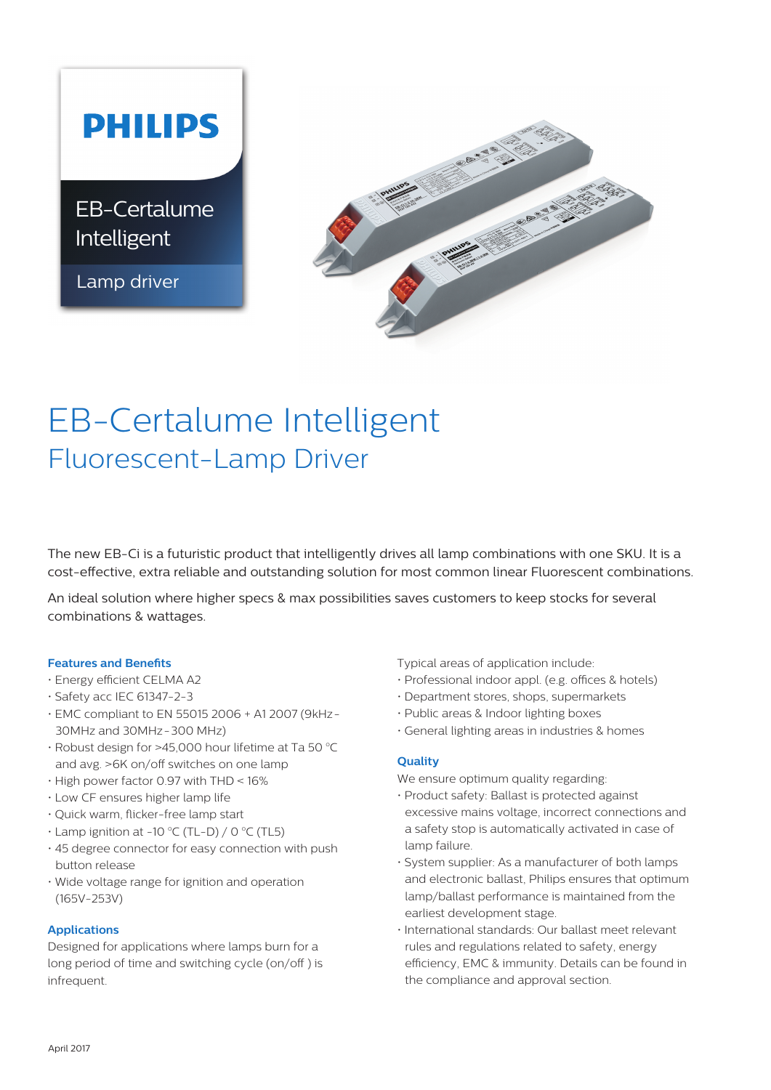# **PHILIPS**

EB-Certalume Intelligent

Lamp driver



# EB-Certalume Intelligent Fluorescent-Lamp Driver

The new EB-Ci is a futuristic product that intelligently drives all lamp combinations with one SKU. It is a cost-effective, extra reliable and outstanding solution for most common linear Fluorescent combinations.

An ideal solution where higher specs & max possibilities saves customers to keep stocks for several combinations & wattages.

## **Features and Benefits**

- Energy efficient CELMA A2
- Safety acc IEC 61347-2-3
- EMC compliant to EN 55015 2006 + A1 2007 (9kHz-30MHz and 30MHz-300 MHz)
- $\cdot$  Robust design for >45,000 hour lifetime at Ta 50  $^{\circ}$ C and avg. >6K on/off switches on one lamp
- High power factor 0.97 with THD < 16%
- Low CF ensures higher lamp life
- Quick warm, flicker-free lamp start
- $\cdot$  Lamp ignition at -10 °C (TL-D) / 0 °C (TL5)
- 45 degree connector for easy connection with push button release
- Wide voltage range for ignition and operation (165V-253V)

# **Applications**

Designed for applications where lamps burn for a long period of time and switching cycle (on/off ) is infrequent.

Typical areas of application include:

- Professional indoor appl. (e.g. offices & hotels)
- Department stores, shops, supermarkets
- Public areas & Indoor lighting boxes
- General lighting areas in industries & homes

# **Quality**

We ensure optimum quality regarding:

- Product safety: Ballast is protected against excessive mains voltage, incorrect connections and a safety stop is automatically activated in case of lamp failure.
- System supplier: As a manufacturer of both lamps and electronic ballast, Philips ensures that optimum lamp/ballast performance is maintained from the earliest development stage.
- International standards: Our ballast meet relevant rules and regulations related to safety, energy efficiency, EMC & immunity. Details can be found in the compliance and approval section.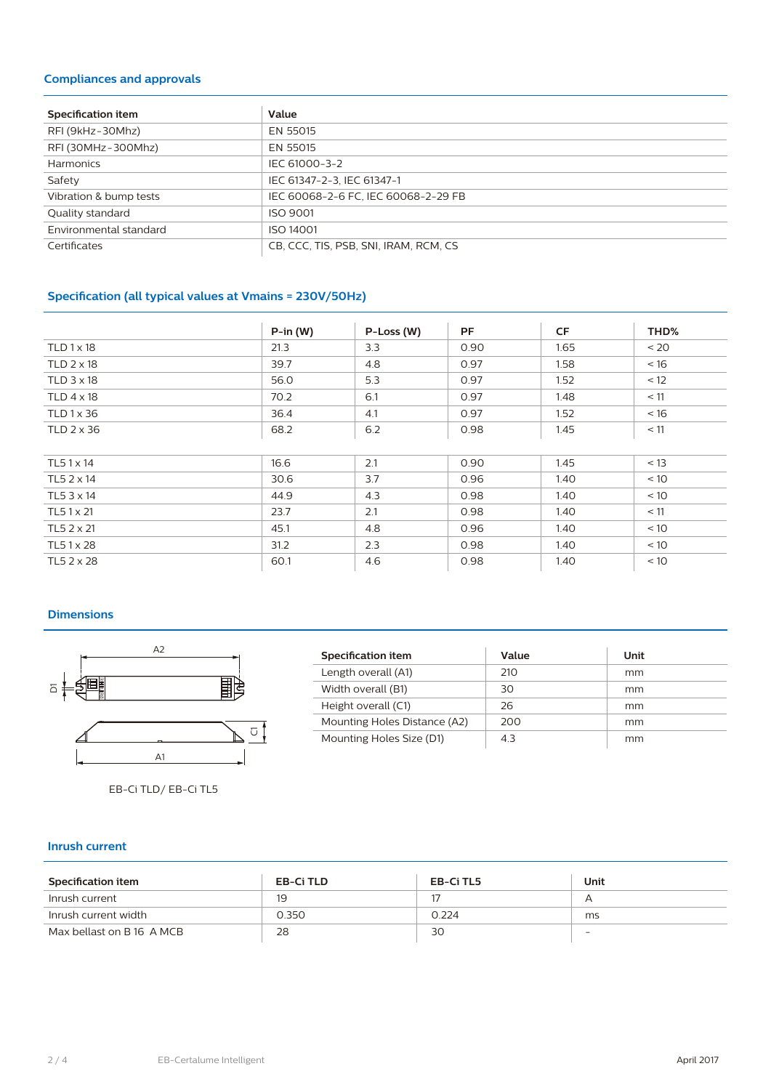# **Compliances and approvals**

| <b>Specification item</b> | Value                                 |
|---------------------------|---------------------------------------|
| RFI (9kHz-30Mhz)          | EN 55015                              |
| RFI (30MHz-300Mhz)        | EN 55015                              |
| Harmonics                 | IEC 61000-3-2                         |
| Safety                    | IEC 61347-2-3, IEC 61347-1            |
| Vibration & bump tests    | IEC 60068-2-6 FC, IEC 60068-2-29 FB   |
| Quality standard          | <b>ISO 9001</b>                       |
| Environmental standard    | ISO 14001                             |
| Certificates              | CB, CCC, TIS, PSB, SNI, IRAM, RCM, CS |

# **Specification (all typical values at Vmains = 230V/50Hz)**

|                     | $P-in (W)$ | P-Loss (W) | <b>PF</b> | CF   | THD% |
|---------------------|------------|------------|-----------|------|------|
| $TLD1 \times 18$    | 21.3       | 3.3        | 0.90      | 1.65 | < 20 |
| TLD $2 \times 18$   | 39.7       | 4.8        | 0.97      | 1.58 | < 16 |
| $TLD$ 3 $\times$ 18 | 56.0       | 5.3        | 0.97      | 1.52 | < 12 |
| TLD $4 \times 18$   | 70.2       | 6.1        | 0.97      | 1.48 | < 11 |
| TLD 1 x 36          | 36.4       | 4.1        | 0.97      | 1.52 | < 16 |
| $TLD$ 2 $\times$ 36 | 68.2       | 6.2        | 0.98      | 1.45 | < 11 |
|                     |            |            |           |      |      |
| TL51 x 14           | 16.6       | 2.1        | 0.90      | 1.45 | < 13 |
| TL5 2 x 14          | 30.6       | 3.7        | 0.96      | 1.40 | < 10 |
| TL5 3 x 14          | 44.9       | 4.3        | 0.98      | 1.40 | < 10 |
| TL5 1 x 21          | 23.7       | 2.1        | 0.98      | 1.40 | < 11 |
| TL5 2 x 21          | 45.1       | 4.8        | 0.96      | 1.40 | < 10 |
| TL51x28             | 31.2       | 2.3        | 0.98      | 1.40 | < 10 |
| TL5 2 x 28          | 60.1       | 4.6        | 0.98      | 1.40 | < 10 |

## **Dimensions**



EB-Ci TLD/ EB-Ci TL5

| Specification item           | Value | Unit |
|------------------------------|-------|------|
| Length overall (A1)          | 210   | mm   |
| Width overall (B1)           | 30    | mm   |
| Height overall (C1)          | 26    | mm   |
| Mounting Holes Distance (A2) | 200   | mm   |
| Mounting Holes Size (D1)     | 43    | mm   |

### **Inrush current**

| Specification item        | EB-Ci TLD | EB-Ci TL5 | Unit |
|---------------------------|-----------|-----------|------|
| Inrush current            | 19        |           |      |
| Inrush current width      | 0.350     | 0.224     | ms   |
| Max bellast on B 16 A MCB | 28        | 30        | -    |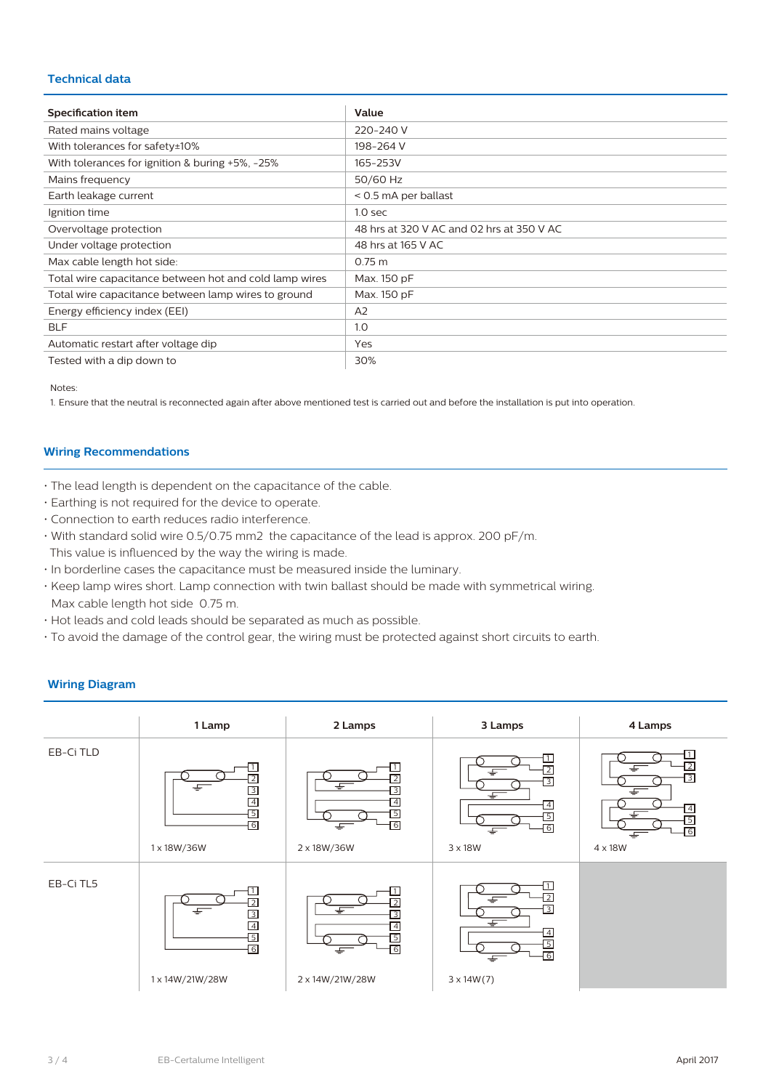# **Technical data**

| Specification item                                     | Value                                     |
|--------------------------------------------------------|-------------------------------------------|
| Rated mains voltage                                    | 220-240 V                                 |
| With tolerances for safety±10%                         | 198-264 V                                 |
| With tolerances for ignition & buring +5%, -25%        | 165-253V                                  |
| Mains frequency                                        | 50/60 Hz                                  |
| Earth leakage current                                  | $<$ 0.5 mA per ballast                    |
| Ignition time                                          | 1.0 <sub>sec</sub>                        |
| Overvoltage protection                                 | 48 hrs at 320 V AC and 02 hrs at 350 V AC |
| Under voltage protection                               | 48 hrs at 165 V AC                        |
| Max cable length hot side:                             | $0.75 \text{ m}$                          |
| Total wire capacitance between hot and cold lamp wires | Max. 150 pF                               |
| Total wire capacitance between lamp wires to ground    | Max. 150 pF                               |
| Energy efficiency index (EEI)                          | A <sub>2</sub>                            |
| <b>BLF</b>                                             | 1.0                                       |
| Automatic restart after voltage dip                    | Yes                                       |
| Tested with a dip down to                              | 30%                                       |

Notes:

1. Ensure that the neutral is reconnected again after above mentioned test is carried out and before the installation is put into operation.

# **Wiring Recommendations**

- The lead length is dependent on the capacitance of the cable.
- Earthing is not required for the device to operate.
- Connection to earth reduces radio interference.
- With standard solid wire 0.5/0.75 mm2 the capacitance of the lead is approx. 200 pF/m. This value is influenced by the way the wiring is made.
- In borderline cases the capacitance must be measured inside the luminary.
- Keep lamp wires short. Lamp connection with twin ballast should be made with symmetrical wiring. Max cable length hot side 0.75 m.
- Hot leads and cold leads should be separated as much as possible.
- To avoid the damage of the control gear, the wiring must be protected against short circuits to earth.

#### **1 Lamp 2 Lamps 3 Lamps 4 Lamps** EB-Ci TLD EB-Ci TL5 1 x 18W/36W 1 x 14W/21W/28W 2 x 18W/36W 2 x 14W/21W/28W 3 x 18W 3 x 14W(7) 4 x 18W 1 2 3 4 5 6 1 2 ाउ  $\sqrt{4}$ 5  $\overline{6}$ 1 2  $\overline{3}$ 4 5 6 1 2 3 4 5 6 1 2 3 4 5 6 1 2 3 4 5 6 1 2 3  $\overline{A}$ 5 6

## **Wiring Diagram**